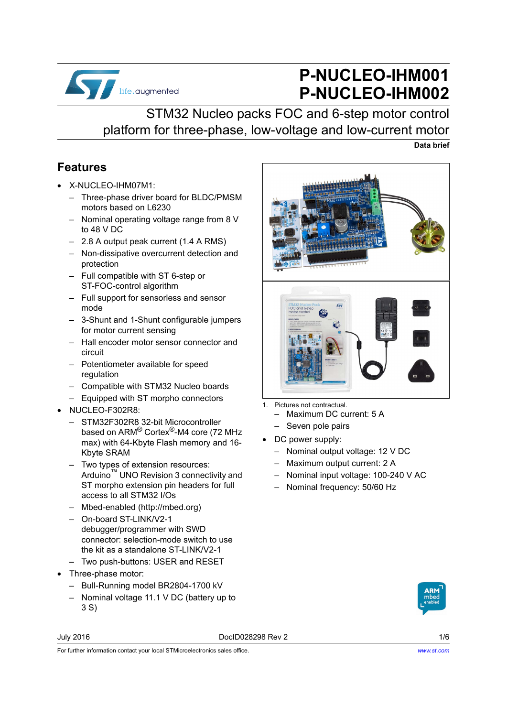

# **P-NUCLEO-IHM001 P-NUCLEO-IHM002**

# STM32 Nucleo packs FOC and 6-step motor control platform for three-phase, low-voltage and low-current motor

#### **Data brief**

#### <span id="page-0-0"></span>**Features**

- X-NUCLEO-IHM07M1:
	- Three-phase driver board for BLDC/PMSM motors based on L6230
	- Nominal operating voltage range from 8 V to 48 V DC
	- 2.8 A output peak current (1.4 A RMS)
	- Non-dissipative overcurrent detection and protection
	- Full compatible with ST 6-step or ST-FOC-control algorithm
	- Full support for sensorless and sensor mode
	- 3-Shunt and 1-Shunt configurable jumpers for motor current sensing
	- Hall encoder motor sensor connector and circuit
	- Potentiometer available for speed regulation
	- Compatible with STM32 Nucleo boards
	- Equipped with ST morpho connectors
- NUCLEO-F302R8:
	- STM32F302R8 32-bit Microcontroller based on ARM® Cortex®-M4 core (72 MHz max) with 64-Kbyte Flash memory and 16- Kbyte SRAM
	- Two types of extension resources: Arduino™ UNO Revision 3 connectivity and ST morpho extension pin headers for full access to all STM32 I/Os
	- Mbed-enabled (http://mbed.org)
	- On-board ST-LINK/V2-1 debugger/programmer with SWD connector: selection-mode switch to use the kit as a standalone ST-LINK/V2-1
	- Two push-buttons: USER and RESET
- Three-phase motor:
	- Bull-Running model BR2804-1700 kV
	- Nominal voltage 11.1 V DC (battery up to 3 S)



July 2016 DocID028298 Rev 2 1/6



- 1. Pictures not contractual.
	- Maximum DC current: 5 A
	- Seven pole pairs
- DC power supply:
	- Nominal output voltage: 12 V DC
	- Maximum output current: 2 A
	- Nominal input voltage: 100-240 V AC
	- Nominal frequency: 50/60 Hz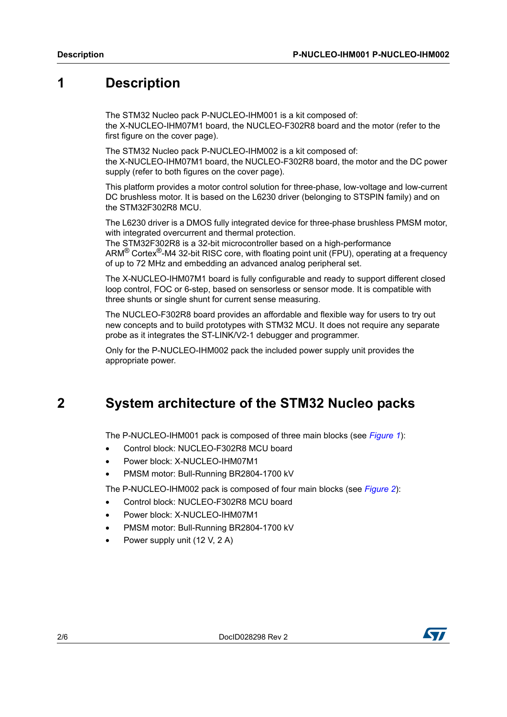### **1 Description**

The STM32 Nucleo pack P-NUCLEO-IHM001 is a kit composed of: the X-NUCLEO-IHM07M1 board, the NUCLEO-F302R8 board and the motor (refer to the first figure on the cover page).

The STM32 Nucleo pack P-NUCLEO-IHM002 is a kit composed of: the X-NUCLEO-IHM07M1 board, the NUCLEO-F302R8 board, the motor and the DC power supply (refer to both figures on the cover page).

This platform provides a motor control solution for three-phase, low-voltage and low-current DC brushless motor. It is based on the L6230 driver (belonging to STSPIN family) and on the STM32F302R8 MCU.

The L6230 driver is a DMOS fully integrated device for three-phase brushless PMSM motor, with integrated overcurrent and thermal protection.

The STM32F302R8 is a 32-bit microcontroller based on a high-performance ARM® Cortex®-M4 32-bit RISC core, with floating point unit (FPU), operating at a frequency of up to 72 MHz and embedding an advanced analog peripheral set.

The X-NUCLEO-IHM07M1 board is fully configurable and ready to support different closed loop control, FOC or 6-step, based on sensorless or sensor mode. It is compatible with three shunts or single shunt for current sense measuring.

The NUCLEO-F302R8 board provides an affordable and flexible way for users to try out new concepts and to build prototypes with STM32 MCU. It does not require any separate probe as it integrates the ST-LINK/V2-1 debugger and programmer.

Only for the P-NUCLEO-IHM002 pack the included power supply unit provides the appropriate power.

### <span id="page-1-0"></span>**2 System architecture of the STM32 Nucleo packs**

The P-NUCLEO-IHM001 pack is composed of three main blocks (see *[Figure 1](#page-2-0)*):

- Control block: NUCLEO-F302R8 MCU board
- Power block: X-NUCLEO-IHM07M1
- PMSM motor: Bull-Running BR2804-1700 kV

The P-NUCLEO-IHM002 pack is composed of four main blocks (see *[Figure 2](#page-2-1)*):

- Control block: NUCLEO-F302R8 MCU board
- Power block: X-NUCLEO-IHM07M1
- PMSM motor: Bull-Running BR2804-1700 kV
- Power supply unit (12 V, 2 A)

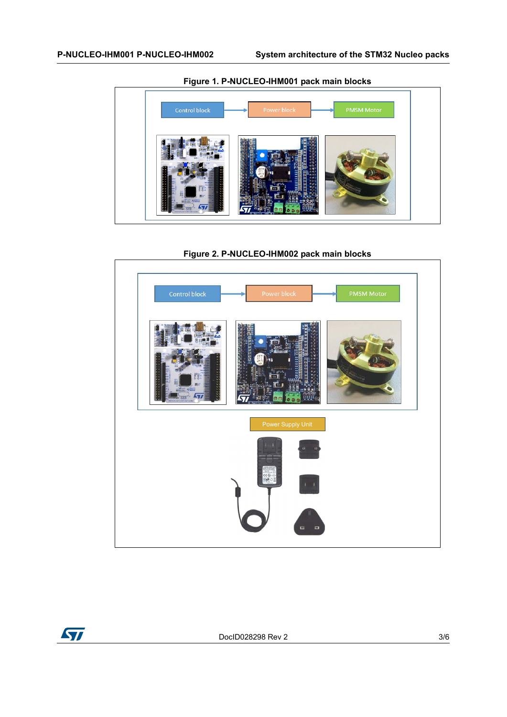<span id="page-2-0"></span>

**Figure 1. P-NUCLEO-IHM001 pack main blocks**

<span id="page-2-1"></span>**Figure 2. P-NUCLEO-IHM002 pack main blocks**



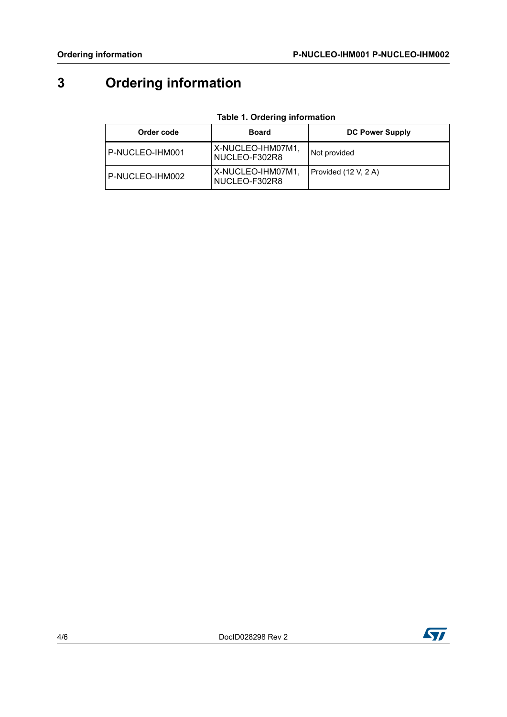# **3 Ordering information**

| <b>Table 1. Ordering information</b> |  |
|--------------------------------------|--|
|--------------------------------------|--|

| Order code      | Board                              | <b>DC Power Supply</b> |
|-----------------|------------------------------------|------------------------|
| P-NUCLEO-IHM001 | X-NUCLEO-IHM07M1,<br>NUCLEO-F302R8 | Not provided           |
| P-NUCLEO-IHM002 | X-NUCLEO-IHM07M1,<br>NUCLEO-F302R8 | Provided (12 V, 2 A)   |

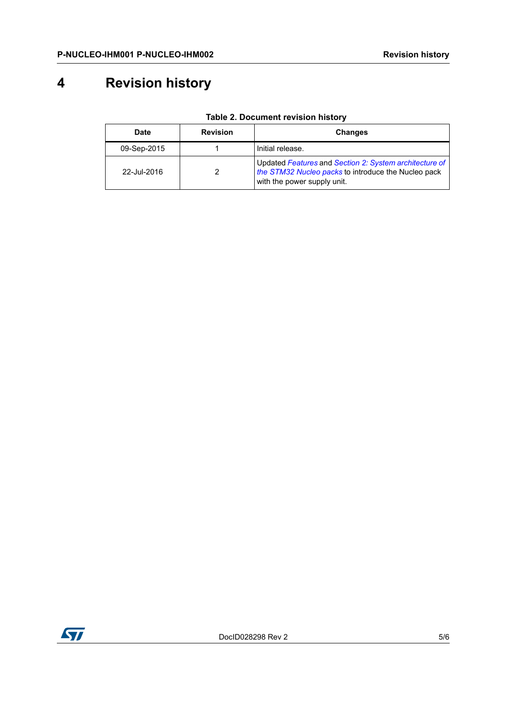## **4 Revision history**

| <b>Date</b> | <b>Revision</b> | Changes                                                                                                                                      |
|-------------|-----------------|----------------------------------------------------------------------------------------------------------------------------------------------|
| 09-Sep-2015 |                 | Initial release.                                                                                                                             |
| 22-Jul-2016 |                 | Updated Features and Section 2: System architecture of<br>the STM32 Nucleo packs to introduce the Nucleo pack<br>with the power supply unit. |

**Table 2. Document revision history**